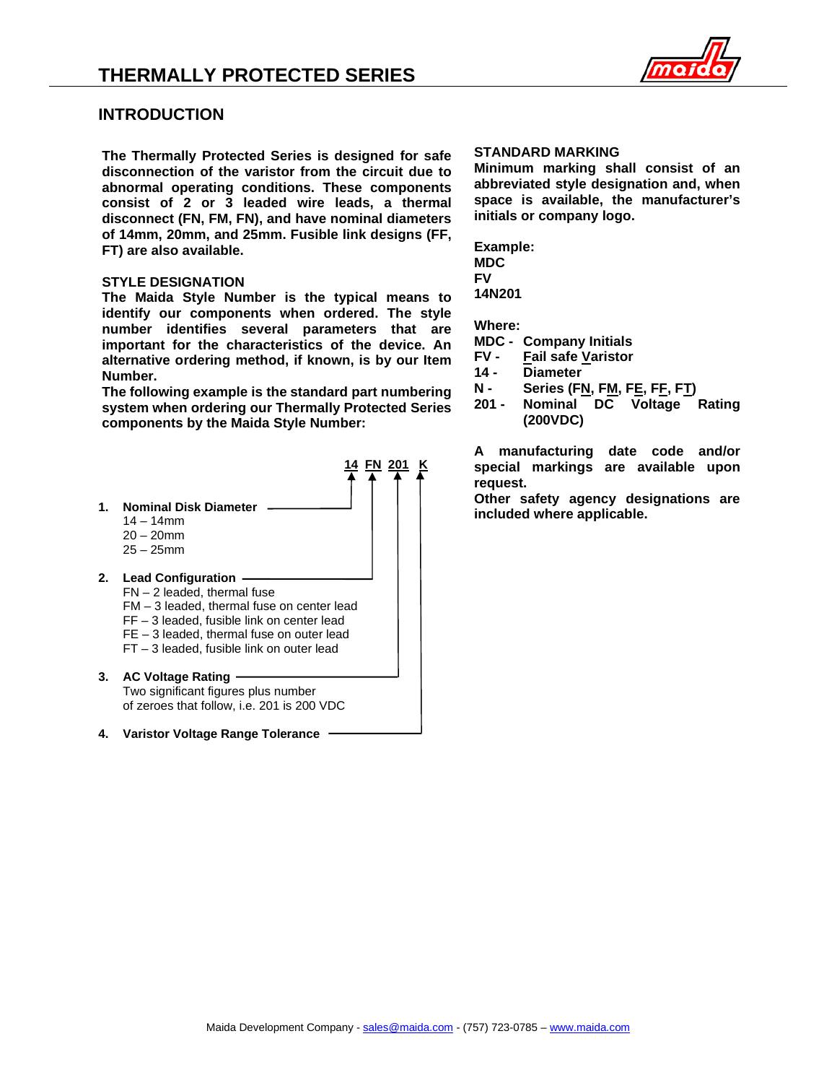

### **INTRODUCTION**

**The Thermally Protected Series is designed for safe disconnection of the varistor from the circuit due to abnormal operating conditions. These components consist of 2 or 3 leaded wire leads, a thermal disconnect (FN, FM, FN), and have nominal diameters of 14mm, 20mm, and 25mm. Fusible link designs (FF, FT) are also available.**

### **STYLE DESIGNATION**

**The Maida Style Number is the typical means to identify our components when ordered. The style number identifies several parameters that are important for the characteristics of the device. An alternative ordering method, if known, is by our Item Number.**

**The following example is the standard part numbering system when ordering our Thermally Protected Series components by the Maida Style Number:**



### **STANDARD MARKING**

**Minimum marking shall consist of an abbreviated style designation and, when space is available, the manufacturer's initials or company logo.**

**Example: MDC FV 14N201**

**Where:**

- **MDC - Company Initials**
- **FV - Fail safe Varistor**
- **14 - Diameter**
- **N - Series (FN, FM, FE, FF, FT)**
- **201 - Nominal DC Voltage Rating (200VDC)**

**A manufacturing date code and/or special markings are available upon request.**

**Other safety agency designations are included where applicable.**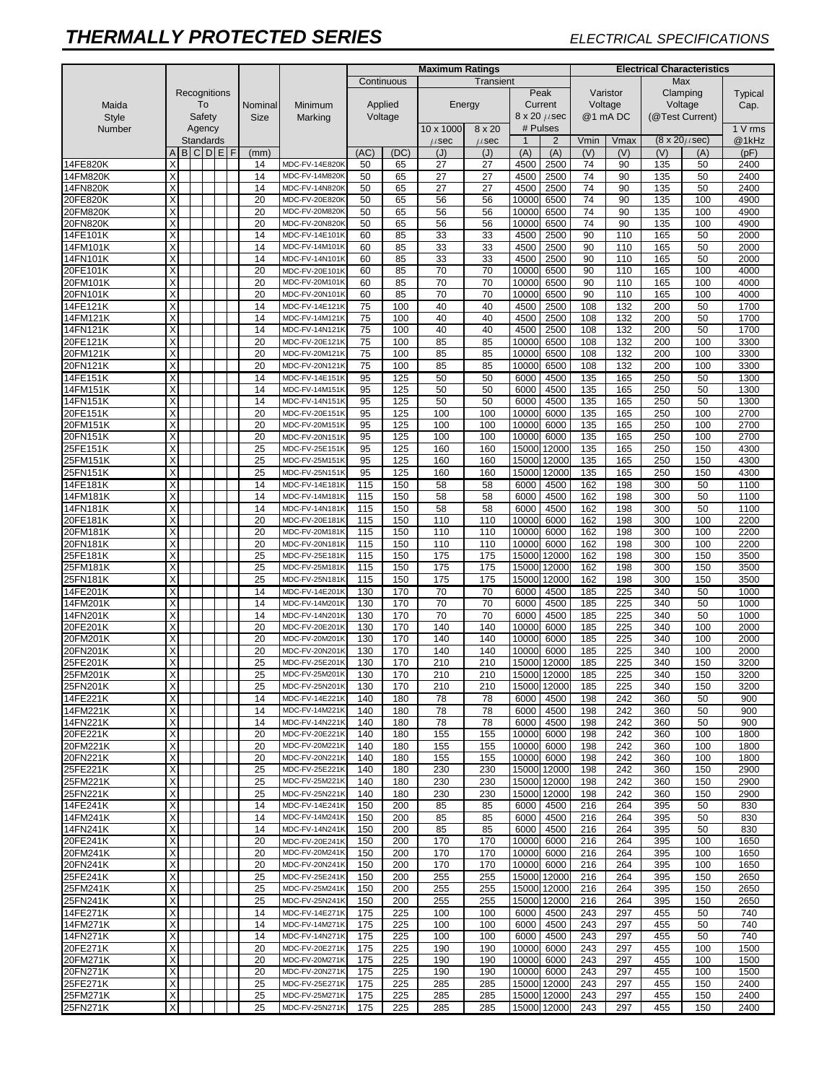|                      |                         |  |  |                     |  |              |                 |                                  | <b>Maximum Ratings</b> |            |                        |                     |                |                                     | <b>Electrical Characteristics</b> |                  |                                |            |                  |  |  |
|----------------------|-------------------------|--|--|---------------------|--|--------------|-----------------|----------------------------------|------------------------|------------|------------------------|---------------------|----------------|-------------------------------------|-----------------------------------|------------------|--------------------------------|------------|------------------|--|--|
|                      |                         |  |  |                     |  |              |                 |                                  |                        | Continuous |                        | Transient           |                |                                     |                                   |                  | Max                            |            |                  |  |  |
|                      | Recognitions            |  |  |                     |  |              |                 |                                  |                        |            |                        |                     |                | Peak                                |                                   | Varistor         | Clamping                       |            | Typical          |  |  |
| Maida                | To<br>Safety            |  |  |                     |  |              | Nominal         | Minimum                          |                        | Applied    |                        | Energy              |                | Current                             | Voltage                           |                  | Voltage                        |            | Cap.             |  |  |
| <b>Style</b>         |                         |  |  |                     |  |              | <b>Size</b>     | Marking                          |                        | Voltage    |                        |                     |                | $8 \times 20 \ \mu sec$<br># Pulses |                                   | @1 mA DC         | (@Test Current)                |            |                  |  |  |
| Number               |                         |  |  | Agency<br>Standards |  |              |                 |                                  |                        |            | 10 x 1000<br>$\mu$ sec | 8 x 20<br>$\mu$ sec | $\overline{1}$ | $\overline{2}$                      | Vmin                              | Vmax             | $(8 \times 20 \mu \text{sec})$ |            | 1 V rms<br>@1kHz |  |  |
|                      | A                       |  |  | B C D E             |  | $\mathsf{F}$ | (mm)            |                                  | (AC)                   | (DC)       | (J)                    | (J)                 | (A)            | (A)                                 | (V)                               | (V)              | (V)                            | (A)        | (pF)             |  |  |
| 14FE820K             | X                       |  |  |                     |  |              | 14              | MDC-FV-14E820K                   | 50                     | 65         | 27                     | 27                  | 4500           | 2500                                | 74                                | 90               | 135                            | 50         | 2400             |  |  |
| 14FM820K             | X                       |  |  |                     |  |              | 14              | MDC-FV-14M820K                   | 50                     | 65         | 27                     | 27                  | 4500           | 2500                                | 74                                | 90               | 135                            | 50         | 2400             |  |  |
| 14FN820K             | X                       |  |  |                     |  |              | 14              | MDC-FV-14N820K                   | 50                     | 65         | 27                     | 27                  | 4500           | 2500                                | 74                                | 90               | 135                            | 50         | 2400             |  |  |
| 20FE820K             | X                       |  |  |                     |  |              | 20              | MDC-FV-20E820K                   | 50                     | 65         | 56                     | 56                  | 10000          | 6500                                | 74                                | 90               | 135                            | 100        | 4900             |  |  |
| 20FM820K             | X                       |  |  |                     |  |              | 20              | MDC-FV-20M820K                   | 50                     | 65         | 56                     | 56                  | 10000          | 6500                                | 74                                | 90               | 135                            | 100        | 4900             |  |  |
| 20FN820K             | $\times$                |  |  |                     |  |              | 20              | MDC-FV-20N820K                   | 50                     | 65         | 56                     | 56                  | 10000          | 6500                                | 74                                | 90               | 135                            | 100        | 4900             |  |  |
| 14FE101K             | X                       |  |  |                     |  |              | 14              | MDC-FV-14E101K                   | 60                     | 85         | 33                     | 33                  | 4500           | 2500                                | 90                                | 110              | 165                            | 50         | 2000             |  |  |
| 14FM101K             | X                       |  |  |                     |  |              | 14              | MDC-FV-14M101K                   | 60                     | 85         | 33                     | 33                  | 4500           | 2500                                | 90                                | 110              | 165                            | 50         | 2000             |  |  |
| 14FN101K             | X                       |  |  |                     |  |              | 14              | MDC-FV-14N101K                   | 60                     | 85         | 33                     | 33                  | 4500           | 2500                                | 90                                | 110              | 165                            | 50         | 2000             |  |  |
| 20FE101K             | $\times$                |  |  |                     |  |              | 20              | MDC-FV-20E101K<br>MDC-FV-20M101K | 60                     | 85         | 70<br>70               | 70                  | 10000          | 6500                                | 90                                | 110              | 165                            | 100        | 4000             |  |  |
| 20FM101K<br>20FN101K | X<br>X                  |  |  |                     |  |              | 20<br>20        | MDC-FV-20N101K                   | 60<br>60               | 85<br>85   | 70                     | 70<br>70            | 10000<br>10000 | 6500<br>6500                        | 90<br>90                          | 110<br>110       | 165<br>165                     | 100<br>100 | 4000<br>4000     |  |  |
| 14FE121K             | $\times$                |  |  |                     |  |              | 14              | MDC-FV-14E121K                   | 75                     | 100        | 40                     | 40                  | 4500           | 2500                                | 108                               | 132              | 200                            | 50         | 1700             |  |  |
| 14FM121K             | X                       |  |  |                     |  |              | 14              | MDC-FV-14M121K                   | 75                     | 100        | 40                     | 40                  | 4500           | 2500                                | 108                               | $\overline{132}$ | 200                            | 50         | 1700             |  |  |
| 14FN121K             | X                       |  |  |                     |  |              | 14              | MDC-FV-14N121K                   | 75                     | 100        | 40                     | 40                  | 4500           | 2500                                | 108                               | 132              | 200                            | 50         | 1700             |  |  |
| 20FE121K             | X                       |  |  |                     |  |              | 20              | MDC-FV-20E121K                   | 75                     | 100        | 85                     | 85                  | 10000          | 6500                                | 108                               | 132              | 200                            | 100        | 3300             |  |  |
| 20FM121K             | X                       |  |  |                     |  |              | 20              | MDC-FV-20M121K                   | 75                     | 100        | 85                     | 85                  | 10000          | 6500                                | 108                               | 132              | 200                            | 100        | 3300             |  |  |
| 20FN121K             | X                       |  |  |                     |  |              | 20              | MDC-FV-20N121K                   | 75                     | 100        | 85                     | 85                  | 10000          | 6500                                | 108                               | 132              | 200                            | 100        | 3300             |  |  |
| 14FE151K             | X                       |  |  |                     |  |              | 14              | MDC-FV-14E151K                   | 95                     | 125        | 50                     | 50                  | 6000           | 4500                                | 135                               | 165              | 250                            | 50         | 1300             |  |  |
| 14FM151K             | $\times$                |  |  |                     |  |              | 14              | MDC-FV-14M151K                   | 95                     | 125        | 50                     | 50                  | 6000           | 4500                                | 135                               | 165              | 250                            | 50         | 1300             |  |  |
| 14FN151K             | X                       |  |  |                     |  |              | 14              | MDC-FV-14N151K                   | 95                     | 125        | 50                     | 50                  | 6000           | 4500                                | 135                               | 165              | 250                            | 50         | 1300             |  |  |
| 20FE151K             | X                       |  |  |                     |  |              | 20              | MDC-FV-20E151K                   | 95                     | 125        | 100                    | 100                 | 10000          | 6000                                | 135                               | 165              | 250                            | 100        | 2700             |  |  |
| 20FM151K             | X                       |  |  |                     |  |              | 20              | MDC-FV-20M151K                   | 95                     | 125        | 100                    | 100                 | 10000          | 6000                                | 135                               | 165              | 250                            | 100        | 2700             |  |  |
| 20FN151K             | X                       |  |  |                     |  |              | 20              | MDC-FV-20N151K                   | 95                     | 125        | 100                    | 100                 | 10000          | 6000                                | 135                               | 165              | 250                            | 100        | 2700             |  |  |
| 25FE151K             | X<br>X                  |  |  |                     |  |              | 25              | MDC-FV-25E151K<br>MDC-FV-25M151K | 95                     | 125        | 160                    | 160                 | 15000          | 12000                               | 135                               | 165              | 250<br>250                     | 150        | 4300             |  |  |
| 25FM151K<br>25FN151K | X                       |  |  |                     |  |              | 25              | MDC-FV-25N151K                   | 95                     | 125<br>125 | 160<br>160             | 160<br>160          | 15000<br>15000 | 12000<br>12000                      | 135<br>135                        | 165<br>165       | 250                            | 150<br>150 | 4300<br>4300     |  |  |
| 14FE181K             | X                       |  |  |                     |  |              | 25<br>14        | MDC-FV-14E181K                   | 95<br>115              | 150        | 58                     | 58                  | 6000           | 4500                                | 162                               | 198              | 300                            | 50         | 1100             |  |  |
| 14FM181K             | Χ                       |  |  |                     |  |              | 14              | MDC-FV-14M181K                   | 115                    | 150        | 58                     | 58                  | 6000           | 4500                                | 162                               | 198              | 300                            | 50         | 1100             |  |  |
| 14FN181K             | $\times$                |  |  |                     |  |              | 14              | MDC-FV-14N181K                   | 115                    | 150        | 58                     | 58                  | 6000           | 4500                                | 162                               | 198              | 300                            | 50         | 1100             |  |  |
| 20FE181K             | X                       |  |  |                     |  |              | 20              | MDC-FV-20E181K                   | 115                    | 150        | 110                    | 110                 | 10000          | 6000                                | 162                               | 198              | 300                            | 100        | 2200             |  |  |
| 20FM181K             | X                       |  |  |                     |  |              | 20              | MDC-FV-20M181K                   | 115                    | 150        | 110                    | 110                 | 10000          | 6000                                | 162                               | 198              | 300                            | 100        | 2200             |  |  |
| 20FN181K             | X                       |  |  |                     |  |              | 20              | MDC-FV-20N181K                   | 115                    | 150        | 110                    | 110                 | 10000          | 6000                                | 162                               | 198              | 300                            | 100        | 2200             |  |  |
| 25FE181K             | X                       |  |  |                     |  |              | 25              | MDC-FV-25E181K                   | 115                    | 150        | 175                    | 175                 | 15000          | 12000                               | 162                               | 198              | 300                            | 150        | 3500             |  |  |
| 25FM181K             | $\times$                |  |  |                     |  |              | 25              | MDC-FV-25M181K                   | 115                    | 150        | 175                    | 175                 | 15000          | 12000                               | 162                               | 198              | 300                            | 150        | 3500             |  |  |
| 25FN181K             | X                       |  |  |                     |  |              | 25              | MDC-FV-25N181K                   | 115                    | 150        | 175                    | 175                 | 15000          | 12000                               | 162                               | 198              | 300                            | 150        | 3500             |  |  |
| 14FE201K             | X                       |  |  |                     |  |              | 14              | MDC-FV-14E201K                   | 130                    | 170        | 70                     | 70                  | 6000           | 4500                                | 185                               | 225              | 340                            | 50         | 1000             |  |  |
| 14FM201K             | X                       |  |  |                     |  |              | 14              | MDC-FV-14M201K                   | 130                    | 170        | 70                     | 70                  | 6000           | 4500                                | 185                               | 225              | 340                            | 50         | 1000             |  |  |
| 14FN201K             | $\times$                |  |  |                     |  |              | 14              | MDC-FV-14N201K                   | 130                    | 170        | 70                     | 70                  | 6000           | 4500                                | 185                               | 225              | 340                            | 50         | 1000             |  |  |
| 20FE201K<br>20FM201K | X<br>X                  |  |  |                     |  |              | 20              | MDC-FV-20E201K<br>MDC-FV-20M201K | 130                    | 170        | 140                    | 140                 | 10000          | 6000                                | 185                               | 225              | 340                            | 100        | 2000             |  |  |
| 20FN201K             | X                       |  |  |                     |  |              | 20<br>20        | MDC-FV-20N201K                   | 130<br>130             | 170<br>170 | 140<br>140             | 140<br>140          | 10000<br>10000 | 6000<br>6000                        | 185<br>185                        | 225<br>225       | 340<br>340                     | 100<br>100 | 2000<br>2000     |  |  |
| 25FE201K             | X                       |  |  |                     |  |              | 25              | MDC-FV-25E201K                   | 130                    | 170        | 210                    | 210                 |                | 15000 12000                         | 185                               | 225              | 340                            | 150        | 3200             |  |  |
| 25FM201K             | $\overline{\mathsf{v}}$ |  |  |                     |  |              | $\overline{25}$ | MDC-FV-25M201K                   | 130                    | 170        | 210                    | 210                 |                | 15000 12000                         | 185                               | 225              | 340                            | 150        | 3200             |  |  |
| 25FN201K             | $\times$                |  |  |                     |  |              | 25              | MDC-FV-25N201K                   | 130                    | 170        | 210                    | 210                 |                | 15000 12000                         | 185                               | 225              | 340                            | 150        | 3200             |  |  |
| 14FE221K             | Χ                       |  |  |                     |  |              | 14              | MDC-FV-14E221K                   | 140                    | 180        | 78                     | 78                  | 6000           | 4500                                | 198                               | 242              | 360                            | 50         | 900              |  |  |
| 14FM221K             | X                       |  |  |                     |  |              | 14              | MDC-FV-14M221K                   | 140                    | 180        | 78                     | 78                  | 6000           | 4500                                | 198                               | 242              | 360                            | 50         | 900              |  |  |
| 14FN221K             | X                       |  |  |                     |  |              | 14              | MDC-FV-14N221K                   | 140                    | 180        | 78                     | 78                  | 6000           | 4500                                | 198                               | 242              | 360                            | 50         | 900              |  |  |
| 20FE221K             | X                       |  |  |                     |  |              | 20              | MDC-FV-20E221K                   | 140                    | 180        | 155                    | 155                 | 10000          | 6000                                | 198                               | 242              | 360                            | 100        | 1800             |  |  |
| 20FM221K             | X                       |  |  |                     |  |              | 20              | MDC-FV-20M221K                   | 140                    | 180        | 155                    | 155                 | 10000          | 6000                                | 198                               | 242              | 360                            | 100        | 1800             |  |  |
| 20FN221K             | X                       |  |  |                     |  |              | 20              | MDC-FV-20N221K                   | 140                    | 180        | 155                    | 155                 | 10000          | 6000                                | 198                               | 242              | 360                            | 100        | 1800             |  |  |
| 25FE221K             | X<br>X                  |  |  |                     |  |              | 25              | MDC-FV-25E221K                   | 140                    | 180        | 230                    | 230                 |                | 15000 12000                         | 198                               | 242              | 360                            | 150        | 2900             |  |  |
| 25FM221K<br>25FN221K | X                       |  |  |                     |  |              | 25<br>25        | MDC-FV-25M221K<br>MDC-FV-25N221K | 140<br>140             | 180<br>180 | 230<br>230             | 230<br>230          |                | 15000 12000<br>15000 12000          | 198<br>198                        | 242<br>242       | 360<br>360                     | 150<br>150 | 2900<br>2900     |  |  |
| 14FE241K             | Χ                       |  |  |                     |  |              | 14              | MDC-FV-14E241K                   | 150                    | 200        | 85                     | 85                  | 6000           | 4500                                | 216                               | 264              | 395                            | 50         | 830              |  |  |
| 14FM241K             | X                       |  |  |                     |  |              | 14              | MDC-FV-14M241K                   | 150                    | 200        | 85                     | 85                  | 6000           | 4500                                | 216                               | 264              | 395                            | 50         | 830              |  |  |
| 14FN241K             | X                       |  |  |                     |  |              | 14              | MDC-FV-14N241K                   | 150                    | 200        | 85                     | 85                  | 6000           | 4500                                | 216                               | 264              | 395                            | 50         | 830              |  |  |
| 20FE241K             | X                       |  |  |                     |  |              | 20              | MDC-FV-20E241K                   | 150                    | 200        | 170                    | 170                 | 10000          | 6000                                | 216                               | 264              | 395                            | 100        | 1650             |  |  |
| 20FM241K             | X                       |  |  |                     |  |              | 20              | MDC-FV-20M241K                   | 150                    | 200        | 170                    | 170                 | 10000          | 6000                                | 216                               | 264              | 395                            | 100        | 1650             |  |  |
| 20FN241K             | X                       |  |  |                     |  |              | 20              | MDC-FV-20N241K                   | 150                    | 200        | 170                    | 170                 | 10000          | 6000                                | 216                               | 264              | 395                            | 100        | 1650             |  |  |
| 25FE241K             | X                       |  |  |                     |  |              | 25              | MDC-FV-25E241K                   | 150                    | 200        | 255                    | 255                 |                | 15000 12000                         | 216                               | 264              | 395                            | 150        | 2650             |  |  |
| 25FM241K             | Χ                       |  |  |                     |  |              | 25              | MDC-FV-25M241K                   | 150                    | 200        | 255                    | 255                 |                | 15000 12000                         | 216                               | 264              | 395                            | 150        | 2650             |  |  |
| 25FN241K             | X                       |  |  |                     |  |              | 25              | MDC-FV-25N241K                   | 150                    | 200        | 255                    | 255                 |                | 15000 12000                         | 216                               | 264              | 395                            | 150        | 2650             |  |  |
| 14FE271K             | X                       |  |  |                     |  |              | 14              | MDC-FV-14E271K                   | 175                    | 225        | 100                    | 100                 | 6000           | 4500                                | 243                               | 297              | 455                            | 50         | 740              |  |  |
| 14FM271K             | X                       |  |  |                     |  |              | 14              | MDC-FV-14M271K                   | 175                    | 225        | 100                    | 100                 | 6000           | 4500                                | 243                               | 297              | 455                            | 50         | 740              |  |  |
| 14FN271K             | X                       |  |  |                     |  |              | 14              | MDC-FV-14N271K                   | 175                    | 225        | 100                    | 100                 | 6000           | 4500                                | 243                               | 297              | 455                            | 50         | 740              |  |  |
| 20FE271K             | Χ                       |  |  |                     |  |              | 20              | MDC-FV-20E271K                   | 175                    | 225        | 190                    | 190                 | 10000          | 6000                                | 243                               | 297              | 455                            | 100        | 1500             |  |  |
| 20FM271K<br>20FN271K | X<br>X                  |  |  |                     |  |              | 20<br>20        | MDC-FV-20M271K<br>MDC-FV-20N271K | 175                    | 225        | 190                    | 190<br>190          | 10000<br>10000 | 6000                                | 243                               | 297<br>297       | 455<br>455                     | 100<br>100 | 1500<br>1500     |  |  |
| 25FE271K             | X                       |  |  |                     |  |              | 25              | MDC-FV-25E271K                   | 175<br>175             | 225<br>225 | 190<br>285             | 285                 |                | 6000<br>15000 12000                 | 243<br>243                        | 297              | 455                            | 150        | 2400             |  |  |
| 25FM271K             | X                       |  |  |                     |  |              | 25              | MDC-FV-25M271K                   | 175                    | 225        | 285                    | 285                 |                | 15000 12000                         | 243                               | 297              | 455                            | 150        | 2400             |  |  |
| 25FN271K             | X                       |  |  |                     |  |              | 25              | MDC-FV-25N271K                   | 175                    | 225        | 285                    | 285                 |                | 15000 12000                         | 243                               | 297              | 455                            | 150        | 2400             |  |  |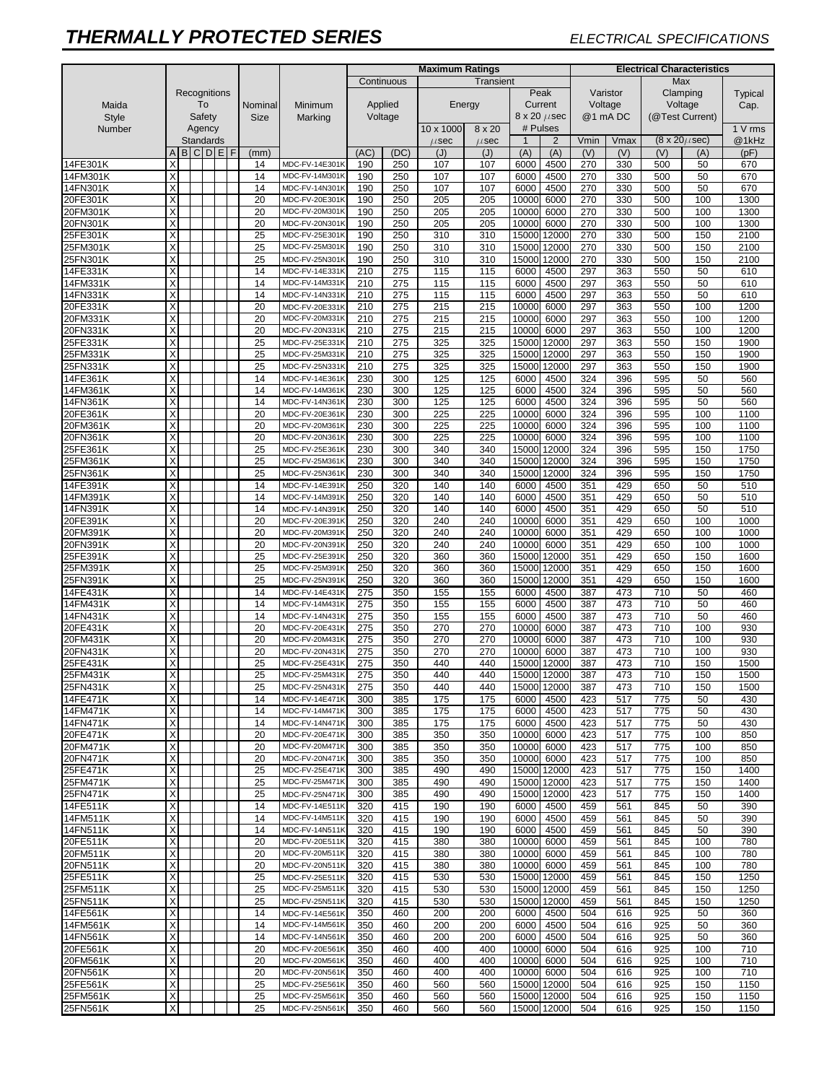|                      |                         |                    |  |                  |              |  |                 | <b>Maximum Ratings</b>           |            |                  |            |            |                |                            | <b>Electrical Characteristics</b> |            |                 |                                |              |  |  |
|----------------------|-------------------------|--------------------|--|------------------|--------------|--|-----------------|----------------------------------|------------|------------------|------------|------------|----------------|----------------------------|-----------------------------------|------------|-----------------|--------------------------------|--------------|--|--|
| Maida                |                         | Recognitions<br>To |  |                  |              |  |                 |                                  |            | Continuous       |            | Transient  |                |                            |                                   |            | Max             |                                |              |  |  |
|                      |                         |                    |  |                  |              |  |                 | Minimum                          |            |                  |            |            |                | Peak                       |                                   | Varistor   |                 | Clamping                       | Typical      |  |  |
|                      |                         |                    |  |                  |              |  | Nominal         |                                  | Applied    |                  |            | Energy     |                | Current                    | Voltage                           |            | Voltage         |                                | Cap.         |  |  |
| <b>Style</b>         |                         |                    |  | Safety           |              |  | <b>Size</b>     | Marking                          |            | Voltage          |            |            |                | $8 \times 20 \ \mu sec$    | @1 mA DC                          |            | (@Test Current) |                                |              |  |  |
| Number               |                         |                    |  | Agency           |              |  |                 |                                  |            |                  | 10 x 1000  | 8 x 20     |                | # Pulses                   |                                   |            |                 |                                | 1 V rms      |  |  |
|                      |                         |                    |  | <b>Standards</b> |              |  |                 |                                  |            |                  | $\mu$ sec  | $\mu$ sec  | $\overline{1}$ | $\overline{2}$             | Vmin                              | Vmax       |                 | $(8 \times 20 \mu \text{sec})$ | @1kHz        |  |  |
|                      | A                       |                    |  |                  | <b>BCDEF</b> |  | (mm)            |                                  | (AC)       | (DC)             | (J)        | (J)        | (A)            | (A)                        | (V)                               | (V)        | (V)             | (A)                            | (pF)         |  |  |
| 14FE301K<br>14FM301K | Χ<br>X                  |                    |  |                  |              |  | 14<br>14        | MDC-FV-14E301K<br>MDC-FV-14M301K | 190<br>190 | 250<br>250       | 107<br>107 | 107<br>107 | 6000<br>6000   | 4500<br>4500               | 270<br>270                        | 330<br>330 | 500<br>500      | 50<br>50                       | 670<br>670   |  |  |
| 14FN301K             | $\overline{X}$          |                    |  |                  |              |  | 14              | MDC-FV-14N301K                   | 190        | 250              | 107        | 107        | 6000           | 4500                       | 270                               | 330        | 500             | 50                             | 670          |  |  |
| 20FE301K             | X                       |                    |  |                  |              |  | 20              | MDC-FV-20E301K                   | 190        | 250              | 205        | 205        | 10000          | 6000                       | 270                               | 330        | 500             | 100                            | 1300         |  |  |
| 20FM301K             | X                       |                    |  |                  |              |  | 20              | MDC-FV-20M301K                   | 190        | 250              | 205        | 205        | 10000          | 6000                       | 270                               | 330        | 500             | 100                            | 1300         |  |  |
| 20FN301K             | X                       |                    |  |                  |              |  | 20              | MDC-FV-20N301K                   | 190        | 250              | 205        | 205        | 10000          | 6000                       | 270                               | 330        | 500             | 100                            | 1300         |  |  |
| 25FE301K             | X                       |                    |  |                  |              |  | 25              | MDC-FV-25E301K                   | 190        | 250              | 310        | 310        | 15000          | 12000                      | 270                               | 330        | 500             | 150                            | 2100         |  |  |
| 25FM301K             | X                       |                    |  |                  |              |  | 25              | MDC-FV-25M301K                   | 190        | 250              | 310        | 310        | 15000          | 12000                      | 270                               | 330        | 500             | 150                            | 2100         |  |  |
| 25FN301K             | X                       |                    |  |                  |              |  | 25              | MDC-FV-25N301K                   | 190        | 250              | 310        | 310        | 15000          | 12000                      | 270                               | 330        | 500             | 150                            | 2100         |  |  |
| 14FE331K             | X                       |                    |  |                  |              |  | 14              | MDC-FV-14E331K                   | 210        | 275              | 115        | 115        | 6000           | 4500                       | 297                               | 363        | 550             | 50                             | 610          |  |  |
| 14FM331K             | X                       |                    |  |                  |              |  | 14              | MDC-FV-14M331K                   | 210        | 275              | 115        | 115        | 6000           | 4500                       | 297                               | 363        | 550             | 50                             | 610          |  |  |
| 14FN331K             | X                       |                    |  |                  |              |  | 14              | MDC-FV-14N331K                   | 210        | 275              | 115        | 115        | 6000           | 4500                       | 297                               | 363        | 550             | 50                             | 610          |  |  |
| 20FE331K             | X                       |                    |  |                  |              |  | 20              | MDC-FV-20E331K                   | 210        | 275              | 215        | 215        | 10000          | 6000                       | 297                               | 363        | 550             | 100                            | 1200         |  |  |
| 20FM331K             | X                       |                    |  |                  |              |  | 20              | MDC-FV-20M331K                   | 210        | $\overline{275}$ | 215        | 215        | 10000          | 6000                       | 297                               | 363        | 550             | 100                            | 1200         |  |  |
| 20FN331K<br>25FE331K | X<br>Χ                  |                    |  |                  |              |  | 20              | MDC-FV-20N331k<br>MDC-FV-25E331K | 210<br>210 | 275<br>275       | 215        | 215        | 10000<br>15000 | 6000                       | 297                               | 363<br>363 | 550<br>550      | 100<br>150                     | 1200<br>1900 |  |  |
| 25FM331K             | X                       |                    |  |                  |              |  | 25<br>25        | MDC-FV-25M331K                   | 210        | 275              | 325<br>325 | 325<br>325 | 15000          | 12000<br>12000             | 297<br>297                        | 363        | 550             | 150                            | 1900         |  |  |
| 25FN331K             | X                       |                    |  |                  |              |  | 25              | MDC-FV-25N331K                   | 210        | 275              | 325        | 325        | 15000          | 12000                      | 297                               | 363        | 550             | 150                            | 1900         |  |  |
| 14FE361K             | Х                       |                    |  |                  |              |  | 14              | MDC-FV-14E361K                   | 230        | 300              | 125        | 125        | 6000           | 4500                       | 324                               | 396        | 595             | 50                             | 560          |  |  |
| 14FM361K             | X                       |                    |  |                  |              |  | 14              | MDC-FV-14M361K                   | 230        | 300              | 125        | 125        | 6000           | 4500                       | 324                               | 396        | 595             | 50                             | 560          |  |  |
| 14FN361K             | X                       |                    |  |                  |              |  | 14              | MDC-FV-14N361K                   | 230        | 300              | 125        | 125        | 6000           | 4500                       | 324                               | 396        | 595             | 50                             | 560          |  |  |
| 20FE361K             | X                       |                    |  |                  |              |  | 20              | MDC-FV-20E361K                   | 230        | 300              | 225        | 225        | 10000          | 6000                       | 324                               | 396        | 595             | 100                            | 1100         |  |  |
| 20FM361K             | X                       |                    |  |                  |              |  | 20              | MDC-FV-20M361K                   | 230        | 300              | 225        | 225        | 10000          | 6000                       | 324                               | 396        | 595             | 100                            | 1100         |  |  |
| 20FN361K             | X                       |                    |  |                  |              |  | 20              | MDC-FV-20N361k                   | 230        | 300              | 225        | 225        | 10000          | 6000                       | 324                               | 396        | 595             | 100                            | 1100         |  |  |
| 25FE361K             | X                       |                    |  |                  |              |  | 25              | MDC-FV-25E361K                   | 230        | 300              | 340        | 340        | 15000          | 12000                      | 324                               | 396        | 595             | 150                            | 1750         |  |  |
| 25FM361K             | X                       |                    |  |                  |              |  | 25              | MDC-FV-25M361K                   | 230        | 300              | 340        | 340        | 15000          | 12000                      | 324                               | 396        | 595             | 150                            | 1750         |  |  |
| 25FN361K             | X                       |                    |  |                  |              |  | 25              | MDC-FV-25N361K                   | 230        | 300              | 340        | 340        | 15000          | 12000                      | 324                               | 396        | 595             | 150                            | 1750         |  |  |
| 14FE391K             | Χ<br>Χ                  |                    |  |                  |              |  | 14<br>14        | MDC-FV-14E391K<br>MDC-FV-14M391K | 250        | 320<br>320       | 140<br>140 | 140<br>140 | 6000<br>6000   | 4500                       | 351                               | 429<br>429 | 650<br>650      | 50<br>50                       | 510<br>510   |  |  |
| 14FM391K<br>14FN391K | X                       |                    |  |                  |              |  | 14              | MDC-FV-14N391K                   | 250<br>250 | 320              | 140        | 140        | 6000           | 4500<br>4500               | 351<br>351                        | 429        | 650             | 50                             | 510          |  |  |
| 20FE391K             | X                       |                    |  |                  |              |  | 20              | MDC-FV-20E391K                   | 250        | 320              | 240        | 240        | 10000          | 6000                       | 351                               | 429        | 650             | 100                            | 1000         |  |  |
| 20FM391K             | X                       |                    |  |                  |              |  | 20              | MDC-FV-20M391K                   | 250        | 320              | 240        | 240        | 10000          | 6000                       | 351                               | 429        | 650             | 100                            | 1000         |  |  |
| 20FN391K             | X                       |                    |  |                  |              |  | 20              | MDC-FV-20N391k                   | 250        | 320              | 240        | 240        | 10000          | 6000                       | 351                               | 429        | 650             | 100                            | 1000         |  |  |
| 25FE391K             | X                       |                    |  |                  |              |  | 25              | MDC-FV-25E391K                   | 250        | 320              | 360        | 360        | 15000          | 12000                      | 351                               | 429        | 650             | 150                            | 1600         |  |  |
| 25FM391K             | X                       |                    |  |                  |              |  | 25              | MDC-FV-25M391K                   | 250        | 320              | 360        | 360        | 15000          | 12000                      | 351                               | 429        | 650             | 150                            | 1600         |  |  |
| 25FN391K             | X                       |                    |  |                  |              |  | 25              | MDC-FV-25N391K                   | 250        | 320              | 360        | 360        | 15000          | 12000                      | 351                               | 429        | 650             | 150                            | 1600         |  |  |
| 14FE431K             | X                       |                    |  |                  |              |  | 14              | MDC-FV-14E431K                   | 275        | 350              | 155        | 155        | 6000           | 4500                       | 387                               | 473        | 710             | 50                             | 460          |  |  |
| 14FM431K             | X                       |                    |  |                  |              |  | 14              | MDC-FV-14M431K                   | 275        | 350              | 155        | 155        | 6000           | 4500                       | 387                               | 473        | 710             | 50                             | 460          |  |  |
| 14FN431K             | Χ                       |                    |  |                  |              |  | 14              | MDC-FV-14N431K                   | 275        | 350              | 155        | 155        | 6000           | 4500                       | 387                               | 473        | 710             | 50                             | 460          |  |  |
| 20FE431K<br>20FM431K | X<br>X                  |                    |  |                  |              |  | 20<br>20        | MDC-FV-20E431K<br>MDC-FV-20M431K | 275<br>275 | 350<br>350       | 270<br>270 | 270<br>270 | 10000<br>10000 | 6000<br>6000               | 387<br>387                        | 473<br>473 | 710<br>710      | 100<br>100                     | 930<br>930   |  |  |
| 20FN431K             | X                       |                    |  |                  |              |  | 20              | MDC-FV-20N431K                   | 275        | 350              | 270        | 270        | 10000          | 6000                       | 387                               | 473        | 710             | 100                            | 930          |  |  |
| 25FE431K             | X                       |                    |  |                  |              |  | $\overline{25}$ | MDC-FV-25E431K                   | 275        | 350              | 440        | 440        | 15000          | 12000                      | 387                               | 473        | 710             | 150                            | 1500         |  |  |
| 25FM431K             | $\lambda$               |                    |  |                  |              |  | 25              | MDC-FV-25M431K                   | 275        | 350              | 440        | 440        |                | 15000 12000                | 387                               | 473        | 710             | 150                            | 1500         |  |  |
| 25FN431K             | $\overline{\mathsf{x}}$ |                    |  |                  |              |  | 25              | MDC-FV-25N431K                   | 275        | 350              | 440        | 440        |                | 15000 12000                | 387                               | 473        | 710             | 150                            | 1500         |  |  |
| 14FE471K             | X                       |                    |  |                  |              |  | 14              | MDC-FV-14E471K                   | 300        | 385              | 175        | 175        | 6000           | 4500                       | 423                               | 517        | 775             | 50                             | 430          |  |  |
| 14FM471K             | X                       |                    |  |                  |              |  | 14              | MDC-FV-14M471K                   | 300        | 385              | 175        | 175        | 6000           | 4500                       | 423                               | 517        | 775             | 50                             | 430          |  |  |
| 14FN471K             | X                       |                    |  |                  |              |  | 14              | MDC-FV-14N471K                   | 300        | 385              | 175        | 175        | 6000           | 4500                       | 423                               | 517        | 775             | 50                             | 430          |  |  |
| 20FE471K             | X                       |                    |  |                  |              |  | 20              | MDC-FV-20E471K                   | 300        | 385              | 350        | 350        | 10000 6000     |                            | 423                               | 517        | 775             | 100                            | 850          |  |  |
| 20FM471K             | X                       |                    |  |                  |              |  | 20              | MDC-FV-20M471K                   | 300        | 385              | 350        | 350        | 10000          | 6000                       | 423                               | 517        | 775             | 100                            | 850          |  |  |
| 20FN471K             | X<br>X                  |                    |  |                  |              |  | 20              | MDC-FV-20N471K                   | 300        | 385              | 350        | 350        | 10000 6000     |                            | 423                               | 517        | 775             | 100                            | 850          |  |  |
| 25FE471K<br>25FM471K | Χ                       |                    |  |                  |              |  | 25<br>25        | MDC-FV-25E471K<br>MDC-FV-25M471K | 300<br>300 | 385<br>385       | 490<br>490 | 490<br>490 |                | 15000 12000<br>15000 12000 | 423<br>423                        | 517<br>517 | 775<br>775      | 150<br>150                     | 1400<br>1400 |  |  |
| 25FN471K             | X                       |                    |  |                  |              |  | 25              | MDC-FV-25N471K                   | 300        | 385              | 490        | 490        |                | 15000 12000                | 423                               | 517        | 775             | 150                            | 1400         |  |  |
| 14FE511K             | X                       |                    |  |                  |              |  | 14              | <b>MDC-FV-14E511K</b>            | 320        | 415              | 190        | 190        | 6000           | 4500                       | 459                               | 561        | 845             | 50                             | 390          |  |  |
| 14FM511K             | X                       |                    |  |                  |              |  | 14              | MDC-FV-14M511K                   | 320        | 415              | 190        | 190        | 6000           | 4500                       | 459                               | 561        | 845             | 50                             | 390          |  |  |
| 14FN511K             | X                       |                    |  |                  |              |  | 14              | MDC-FV-14N511K                   | 320        | 415              | 190        | 190        | 6000           | 4500                       | 459                               | 561        | 845             | 50                             | 390          |  |  |
| 20FE511K             | X                       |                    |  |                  |              |  | 20              | MDC-FV-20E511K                   | 320        | 415              | 380        | 380        | 10000          | 6000                       | 459                               | 561        | 845             | 100                            | 780          |  |  |
| 20FM511K             | X                       |                    |  |                  |              |  | 20              | MDC-FV-20M511K                   | 320        | 415              | 380        | 380        | 10000          | 6000                       | 459                               | 561        | 845             | 100                            | 780          |  |  |
| 20FN511K             | X                       |                    |  |                  |              |  | 20              | MDC-FV-20N511K                   | 320        | 415              | 380        | 380        | 10000 6000     |                            | 459                               | 561        | 845             | 100                            | 780          |  |  |
| 25FE511K             | Χ                       |                    |  |                  |              |  | 25              | MDC-FV-25E511K                   | 320        | 415              | 530        | 530        |                | 15000 12000                | 459                               | 561        | 845             | 150                            | 1250         |  |  |
| 25FM511K             | X                       |                    |  |                  |              |  | 25              | MDC-FV-25M511K                   | 320        | 415              | 530        | 530        |                | 15000 12000                | 459                               | 561        | 845             | 150                            | 1250         |  |  |
| 25FN511K             | Χ                       |                    |  |                  |              |  | 25              | MDC-FV-25N511K                   | 320        | 415              | 530        | 530        |                | 15000 12000                | 459                               | 561        | 845             | 150                            | 1250         |  |  |
| 14FE561K<br>14FM561K | X<br>X                  |                    |  |                  |              |  | 14<br>14        | MDC-FV-14E561K<br>MDC-FV-14M561K | 350<br>350 | 460<br>460       | 200<br>200 | 200<br>200 | 6000<br>6000   | 4500<br>4500               | 504<br>504                        | 616<br>616 | 925             | 50<br>50                       | 360<br>360   |  |  |
| 14FN561K             | Χ                       |                    |  |                  |              |  | 14              | MDC-FV-14N561K                   | 350        | 460              | 200        | 200        | 6000           | 4500                       | 504                               | 616        | 925<br>925      | 50                             | 360          |  |  |
| 20FE561K             | Χ                       |                    |  |                  |              |  | 20              | MDC-FV-20E561K                   | 350        | 460              | 400        | 400        | 10000          | 6000                       | 504                               | 616        | 925             | 100                            | 710          |  |  |
| 20FM561K             | X                       |                    |  |                  |              |  | 20              | MDC-FV-20M561K                   | 350        | 460              | 400        | 400        | 10000          | 6000                       | 504                               | 616        | 925             | 100                            | 710          |  |  |
| 20FN561K             | X                       |                    |  |                  |              |  | 20              | MDC-FV-20N561K                   | 350        | 460              | 400        | 400        | 10000 6000     |                            | 504                               | 616        | 925             | 100                            | 710          |  |  |
| 25FE561K             | Χ                       |                    |  |                  |              |  | 25              | MDC-FV-25E561K                   | 350        | 460              | 560        | 560        |                | 15000 12000                | 504                               | 616        | 925             | 150                            | 1150         |  |  |
| 25FM561K             | X                       |                    |  |                  |              |  | 25              | MDC-FV-25M561K                   | 350        | 460              | 560        | 560        |                | 15000 12000                | 504                               | 616        | 925             | 150                            | 1150         |  |  |
| 25FN561K             | Χ                       |                    |  |                  |              |  | 25              | MDC-FV-25N561K                   | 350        | 460              | 560        | 560        |                | 15000 12000                | 504                               | 616        | 925             | 150                            | 1150         |  |  |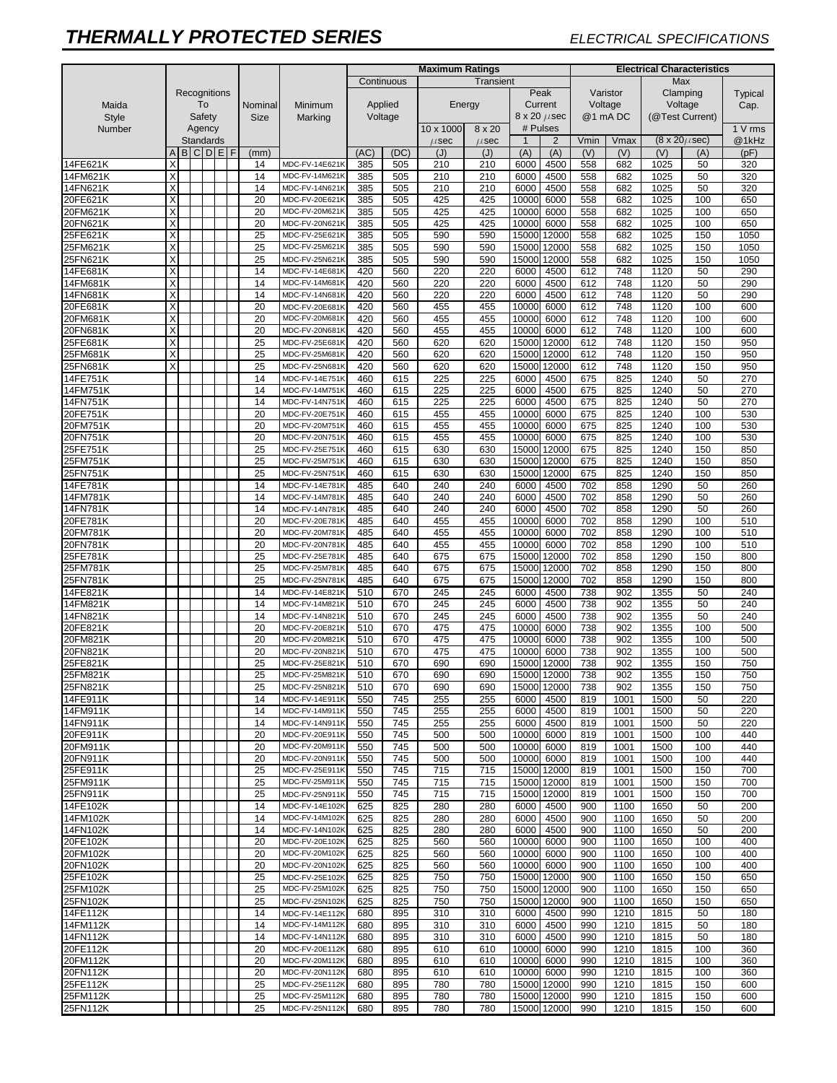|                      |                         |              |           |  |              |                 |                                  | <b>Maximum Ratings</b> |            |            |            |                            |               | <b>Electrical Characteristics</b> |              |                 |                          |             |  |  |
|----------------------|-------------------------|--------------|-----------|--|--------------|-----------------|----------------------------------|------------------------|------------|------------|------------|----------------------------|---------------|-----------------------------------|--------------|-----------------|--------------------------|-------------|--|--|
|                      |                         |              |           |  |              |                 |                                  |                        | Continuous |            | Transient  |                            |               |                                   |              | Max             |                          |             |  |  |
| Maida                |                         | Recognitions |           |  |              | Nominal         | Minimum                          |                        |            |            |            | Peak                       |               |                                   | Varistor     |                 | Clamping                 | Typical     |  |  |
|                      |                         |              | To        |  |              |                 |                                  |                        | Applied    |            | Energy     | Current                    |               | Voltage                           |              | Voltage         |                          | Cap.        |  |  |
| <b>Style</b>         |                         |              | Safety    |  |              | <b>Size</b>     | Marking                          |                        | Voltage    |            |            | $8 \times 20 \ \mu sec$    |               |                                   | @1 mA DC     | (@Test Current) |                          |             |  |  |
| Number               |                         |              | Agency    |  |              |                 |                                  |                        |            | 10 x 1000  | 8 x 20     | # Pulses                   |               |                                   |              |                 |                          | 1 V rms     |  |  |
|                      |                         |              | Standards |  |              |                 |                                  |                        |            | $\mu$ sec  | $\mu$ sec  | $\overline{1}$             | 2             | Vmin                              | Vmax         |                 | $(8 \times 20 \mu \sec)$ | @1kHz       |  |  |
|                      | A                       |              |           |  | <b>BCDEF</b> | (mm)            |                                  | (AC)                   | (DC)       | (J)        | (J)        | (A)                        | (A)           | (V)                               | (V)          | (V)             | (A)                      | (pF)        |  |  |
| 14FE621K             |                         |              |           |  |              | 14              | MDC-FV-14E621K                   | 385                    | 505        | 210        | 210        | 6000                       | 4500          | 558                               | 682          | 1025            | 50                       | 320         |  |  |
| 14FM621K             | Χ                       |              |           |  |              | 14              | MDC-FV-14M621K                   | 385                    | 505        | 210        | 210        | 6000                       | 4500          | 558                               | 682          | 1025            | 50                       | 320         |  |  |
| 14FN621K             | X                       |              |           |  |              | 14              | MDC-FV-14N621K                   | 385                    | 505        | 210        | 210        | 6000                       | 4500          | 558                               | 682          | 1025            | 50                       | 320         |  |  |
| 20FE621K             | X                       |              |           |  |              | 20              | MDC-FV-20E621K                   | 385                    | 505        | 425        | 425        | 10000                      | 6000          | 558                               | 682          | 1025            | 100                      | 650         |  |  |
| 20FM621K             | X<br>X                  |              |           |  |              | 20              | MDC-FV-20M621K                   | 385                    | 505        | 425        | 425        | 10000                      | 6000          | 558                               | 682          | 1025            | 100                      | 650         |  |  |
| 20FN621K<br>25FE621K | X                       |              |           |  |              | 20<br>25        | MDC-FV-20N621k<br>MDC-FV-25E621K | 385<br>385             | 505<br>505 | 425<br>590 | 425<br>590 | 10000<br>15000             | 6000<br>12000 | 558<br>558                        | 682<br>682   | 1025<br>1025    | 100<br>150               | 650<br>1050 |  |  |
| 25FM621K             | $\overline{X}$          |              |           |  |              | 25              | MDC-FV-25M621K                   | 385                    | 505        | 590        | 590        | 15000                      | 12000         | 558                               | 682          | 1025            | 150                      | 1050        |  |  |
| 25FN621K             | Χ                       |              |           |  |              | 25              | MDC-FV-25N621K                   | 385                    | 505        | 590        | 590        | 15000                      | 12000         | 558                               | 682          | 1025            | 150                      | 1050        |  |  |
| 14FE681K             | X                       |              |           |  |              | 14              | MDC-FV-14E681K                   | 420                    | 560        | 220        | 220        | 6000                       | 4500          | 612                               | 748          | 1120            | 50                       | 290         |  |  |
| 14FM681K             | X                       |              |           |  |              | 14              | MDC-FV-14M681K                   | 420                    | 560        | 220        | 220        | 6000                       | 4500          | 612                               | 748          | 1120            | 50                       | 290         |  |  |
| 14FN681K             | X                       |              |           |  |              | 14              | MDC-FV-14N681K                   | 420                    | 560        | 220        | 220        | 6000                       | 4500          | 612                               | 748          | 1120            | 50                       | 290         |  |  |
| 20FE681K             | X                       |              |           |  |              | 20              | MDC-FV-20E681K                   | 420                    | 560        | 455        | 455        | 10000                      | 6000          | 612                               | 748          | 1120            | 100                      | 600         |  |  |
| 20FM681K             | $\overline{\mathsf{x}}$ |              |           |  |              | 20              | MDC-FV-20M681K                   | 420                    | 560        | 455        | 455        | 10000                      | 6000          | 612                               | 748          | 1120            | 100                      | 600         |  |  |
| 20FN681K             | X                       |              |           |  |              | 20              | MDC-FV-20N681k                   | 420                    | 560        | 455        | 455        | 10000                      | 6000          | 612                               | 748          | 1120            | 100                      | 600         |  |  |
| 25FE681K             | X                       |              |           |  |              | 25              | MDC-FV-25E681K                   | 420                    | 560        | 620        | 620        | 15000                      | 12000         | 612                               | 748          | 1120            | 150                      | 950         |  |  |
| 25FM681K             | X                       |              |           |  |              | 25              | MDC-FV-25M681K                   | 420                    | 560        | 620        | 620        | 15000                      | 12000         | 612                               | 748          | 1120            | 150                      | 950         |  |  |
| 25FN681K             | X                       |              |           |  |              | 25              | MDC-FV-25N681K                   | 420                    | 560        | 620        | 620        | 15000                      | 12000         | 612                               | 748          | 1120            | 150                      | 950         |  |  |
| 14FE751K             |                         |              |           |  |              | 14              | MDC-FV-14E751K                   | 460                    | 615        | 225        | 225        | 6000                       | 4500          | 675                               | 825          | 1240            | 50                       | 270         |  |  |
| 14FM751K             |                         |              |           |  |              | 14              | MDC-FV-14M751K                   | 460                    | 615        | 225        | 225        | 6000                       | 4500          | 675                               | 825          | 1240            | 50                       | 270         |  |  |
| 14FN751K             |                         |              |           |  |              | 14              | MDC-FV-14N751K                   | 460                    | 615        | 225        | 225        | 6000                       | 4500          | 675                               | 825          | 1240            | 50                       | 270         |  |  |
| 20FE751K             |                         |              |           |  |              | 20              | MDC-FV-20E751K                   | 460                    | 615        | 455        | 455        | 10000                      | 6000          | 675                               | 825          | 1240            | 100                      | 530         |  |  |
| 20FM751K             |                         |              |           |  |              | 20              | MDC-FV-20M751K                   | 460                    | 615        | 455        | 455        | 10000                      | 6000          | 675                               | 825          | 1240            | 100                      | 530         |  |  |
| 20FN751K             |                         |              |           |  |              | 20              | MDC-FV-20N751K                   | 460                    | 615        | 455        | 455        | 10000                      | 6000          | 675                               | 825          | 1240            | 100                      | 530         |  |  |
| 25FE751K             |                         |              |           |  |              | 25              | MDC-FV-25E751K                   | 460                    | 615        | 630        | 630        | 15000                      | 12000         | 675                               | 825          | 1240            | 150                      | 850         |  |  |
| 25FM751K             |                         |              |           |  |              | 25              | MDC-FV-25M751K                   | 460                    | 615        | 630        | 630        | 15000                      | 12000         | 675                               | 825          | 1240            | 150                      | 850         |  |  |
| 25FN751K             |                         |              |           |  |              | 25              | MDC-FV-25N751K                   | 460                    | 615        | 630        | 630        | 15000                      | 12000         | 675                               | 825          | 1240            | 150                      | 850         |  |  |
| 14FE781K<br>14FM781K |                         |              |           |  |              | 14<br>14        | MDC-FV-14E781K<br>MDC-FV-14M781K | 485<br>485             | 640<br>640 | 240<br>240 | 240<br>240 | 6000<br>6000               | 4500<br>4500  | 702<br>702                        | 858<br>858   | 1290<br>1290    | 50<br>50                 | 260<br>260  |  |  |
| 14FN781K             |                         |              |           |  |              | 14              | MDC-FV-14N781K                   | 485                    | 640        | 240        | 240        | 6000                       | 4500          | 702                               | 858          | 1290            | 50                       | 260         |  |  |
| 20FE781K             |                         |              |           |  |              | 20              | MDC-FV-20E781K                   | 485                    | 640        | 455        | 455        | 10000                      | 6000          | 702                               | 858          | 1290            | 100                      | 510         |  |  |
| 20FM781K             |                         |              |           |  |              | 20              | MDC-FV-20M781K                   | 485                    | 640        | 455        | 455        | 10000                      | 6000          | 702                               | 858          | 1290            | 100                      | 510         |  |  |
| 20FN781K             |                         |              |           |  |              | 20              | MDC-FV-20N781K                   | 485                    | 640        | 455        | 455        | 10000                      | 6000          | 702                               | 858          | 1290            | 100                      | 510         |  |  |
| 25FE781K             |                         |              |           |  |              | 25              | MDC-FV-25E781K                   | 485                    | 640        | 675        | 675        | 15000                      | 12000         | 702                               | 858          | 1290            | 150                      | 800         |  |  |
| 25FM781K             |                         |              |           |  |              | 25              | MDC-FV-25M781K                   | 485                    | 640        | 675        | 675        | 15000                      | 12000         | 702                               | 858          | 1290            | 150                      | 800         |  |  |
| 25FN781K             |                         |              |           |  |              | 25              | MDC-FV-25N781K                   | 485                    | 640        | 675        | 675        | 15000                      | 12000         | 702                               | 858          | 1290            | 150                      | 800         |  |  |
| 14FE821K             |                         |              |           |  |              | 14              | MDC-FV-14E821K                   | 510                    | 670        | 245        | 245        | 6000                       | 4500          | 738                               | 902          | 1355            | 50                       | 240         |  |  |
| 14FM821K             |                         |              |           |  |              | 14              | MDC-FV-14M821K                   | 510                    | 670        | 245        | 245        | 6000                       | 4500          | 738                               | 902          | 1355            | 50                       | 240         |  |  |
| 14FN821K             |                         |              |           |  |              | 14              | MDC-FV-14N821K                   | 510                    | 670        | 245        | 245        | 6000                       | 4500          | 738                               | 902          | 1355            | 50                       | 240         |  |  |
| 20FE821K             |                         |              |           |  |              | 20              | MDC-FV-20E821K                   | 510                    | 670        | 475        | 475        | 10000                      | 6000          | 738                               | 902          | 1355            | 100                      | 500         |  |  |
| 20FM821K             |                         |              |           |  |              | 20              | MDC-FV-20M821K                   | 510                    | 670        | 475        | 475        | 10000                      | 6000          | 738                               | 902          | 1355            | 100                      | 500         |  |  |
| 20FN821K             |                         |              |           |  |              | 20              | MDC-FV-20N821K                   | 510                    | 670        | 475        | 475        | 10000                      | 6000          | 738                               | 902          | 1355            | 100                      | 500         |  |  |
| 25FE821K             |                         |              |           |  |              | 25              | MDC-FV-25E821K                   | 510                    | 670        | 690        | 690        | 15000                      | 12000         | 738                               | 902          | 1355            | 150                      | 750         |  |  |
| 25FM821K             |                         |              |           |  |              | $\overline{25}$ | MDC-FV-25M821K                   | 510                    | 670        | 690        | 690        | 15000 12000                |               | 738                               | 902          | 1355            | 150                      | 750         |  |  |
| 25FN821K             |                         |              |           |  |              | 25              | MDC-FV-25N821K                   | 510                    | 670        | 690        | 690        | 15000 12000                |               | 738                               | 902          | 1355            | 150                      | 750         |  |  |
| 14FE911K             |                         |              |           |  |              | 14              | MDC-FV-14E911K                   | 550                    | 745        | 255        | 255        | 6000                       | 4500          | 819                               | 1001         | 1500            | 50                       | 220         |  |  |
| 14FM911K             |                         |              |           |  |              | 14              | MDC-FV-14M911K                   | 550                    | 745        | 255        | 255        | 6000                       | 4500          | 819                               | 1001         | 1500            | 50                       | 220         |  |  |
| 14FN911K             |                         |              |           |  |              | 14              | MDC-FV-14N911K                   | 550                    | 745        | 255        | 255        | 6000                       | 4500          | 819                               | 1001         | 1500            | 50                       | 220         |  |  |
| 20FE911K<br>20FM911K |                         |              |           |  |              | 20<br>20        | MDC-FV-20E911K<br>MDC-FV-20M911K | 550<br>550             | 745<br>745 | 500<br>500 | 500<br>500 | 10000<br>10000             | 6000<br>6000  | 819<br>819                        | 1001<br>1001 | 1500<br>1500    | 100<br>100               | 440<br>440  |  |  |
| 20FN911K             |                         |              |           |  |              | 20              | MDC-FV-20N911K                   | 550                    | 745        | 500        | 500        | 10000                      | 6000          | 819                               | 1001         | 1500            | 100                      | 440         |  |  |
| 25FE911K             |                         |              |           |  |              | 25              | MDC-FV-25E911K                   | 550                    | 745        | 715        | 715        | 15000 12000                |               | 819                               | 1001         | 1500            | 150                      | 700         |  |  |
| 25FM911K             |                         |              |           |  |              | 25              | MDC-FV-25M911K                   | 550                    | 745        | 715        | 715        | 15000 12000                |               | 819                               | 1001         | 1500            | 150                      | 700         |  |  |
| 25FN911K             |                         |              |           |  |              | 25              | MDC-FV-25N911K                   | 550                    | 745        | 715        | 715        | 15000 12000                |               | 819                               | 1001         | 1500            | 150                      | 700         |  |  |
| 14FE102K             |                         |              |           |  |              | 14              | MDC-FV-14E102K                   | 625                    | 825        | 280        | 280        | 6000                       | 4500          | 900                               | 1100         | 1650            | 50                       | 200         |  |  |
| 14FM102K             |                         |              |           |  |              | 14              | MDC-FV-14M102K                   | 625                    | 825        | 280        | 280        | 6000                       | 4500          | 900                               | 1100         | 1650            | 50                       | 200         |  |  |
| 14FN102K             |                         |              |           |  |              | 14              | MDC-FV-14N102K                   | 625                    | 825        | 280        | 280        | 6000                       | 4500          | 900                               | 1100         | 1650            | 50                       | 200         |  |  |
| 20FE102K             |                         |              |           |  |              | 20              | MDC-FV-20E102K                   | 625                    | 825        | 560        | 560        | 10000                      | 6000          | 900                               | 1100         | 1650            | 100                      | 400         |  |  |
| 20FM102K             |                         |              |           |  |              | 20              | MDC-FV-20M102K                   | 625                    | 825        | 560        | 560        | 10000                      | 6000          | 900                               | 1100         | 1650            | 100                      | 400         |  |  |
| 20FN102K             |                         |              |           |  |              | 20              | MDC-FV-20N102K                   | 625                    | 825        | 560        | 560        | 10000                      | 6000          | 900                               | 1100         | 1650            | 100                      | 400         |  |  |
| 25FE102K             |                         |              |           |  |              | 25              | MDC-FV-25E102K                   | 625                    | 825        | 750        | 750        | 15000 12000                |               | 900                               | 1100         | 1650            | 150                      | 650         |  |  |
| 25FM102K             |                         |              |           |  |              | 25              | MDC-FV-25M102K                   | 625                    | 825        | 750        | 750        | 15000 12000                |               | 900                               | 1100         | 1650            | 150                      | 650         |  |  |
| 25FN102K             |                         |              |           |  |              | 25              | MDC-FV-25N102K                   | 625                    | 825        | 750        | 750        | 15000 12000                |               | 900                               | 1100         | 1650            | 150                      | 650         |  |  |
| 14FE112K             |                         |              |           |  |              | 14              | MDC-FV-14E112K                   | 680                    | 895        | 310        | 310        | 6000                       | 4500          | 990                               | 1210         | 1815            | 50                       | 180         |  |  |
| 14FM112K             |                         |              |           |  |              | 14              | MDC-FV-14M112K                   | 680                    | 895        | 310        | 310        | 6000                       | 4500          | 990                               | 1210         | 1815            | 50                       | 180         |  |  |
| 14FN112K             |                         |              |           |  |              | 14              | MDC-FV-14N112K                   | 680                    | 895        | 310        | 310        | 6000                       | 4500          | 990                               | 1210         | 1815            | 50                       | 180         |  |  |
| 20FE112K             |                         |              |           |  |              | 20              | MDC-FV-20E112K                   | 680                    | 895        | 610        | 610        | 10000                      | 6000          | 990                               | 1210         | 1815            | 100                      | 360         |  |  |
| 20FM112K             |                         |              |           |  |              | 20              | MDC-FV-20M112K                   | 680                    | 895        | 610        | 610        | 10000                      | 6000          | 990                               | 1210         | 1815            | 100                      | 360         |  |  |
| 20FN112K             |                         |              |           |  |              | 20<br>25        | MDC-FV-20N112K                   | 680<br>680             | 895<br>895 | 610<br>780 | 610<br>780 | 10000                      | 6000          | 990<br>990                        | 1210<br>1210 | 1815<br>1815    | 100<br>150               | 360<br>600  |  |  |
| 25FE112K<br>25FM112K |                         |              |           |  |              | 25              | MDC-FV-25E112K<br>MDC-FV-25M112K | 680                    | 895        | 780        | 780        | 15000 12000<br>15000 12000 |               | 990                               | 1210         | 1815            | 150                      | 600         |  |  |
| 25FN112K             |                         |              |           |  |              | 25              | MDC-FV-25N112K                   | 680                    | 895        | 780        | 780        | 15000 12000                |               | 990                               | 1210         | 1815            | 150                      | 600         |  |  |
|                      |                         |              |           |  |              |                 |                                  |                        |            |            |            |                            |               |                                   |              |                 |                          |             |  |  |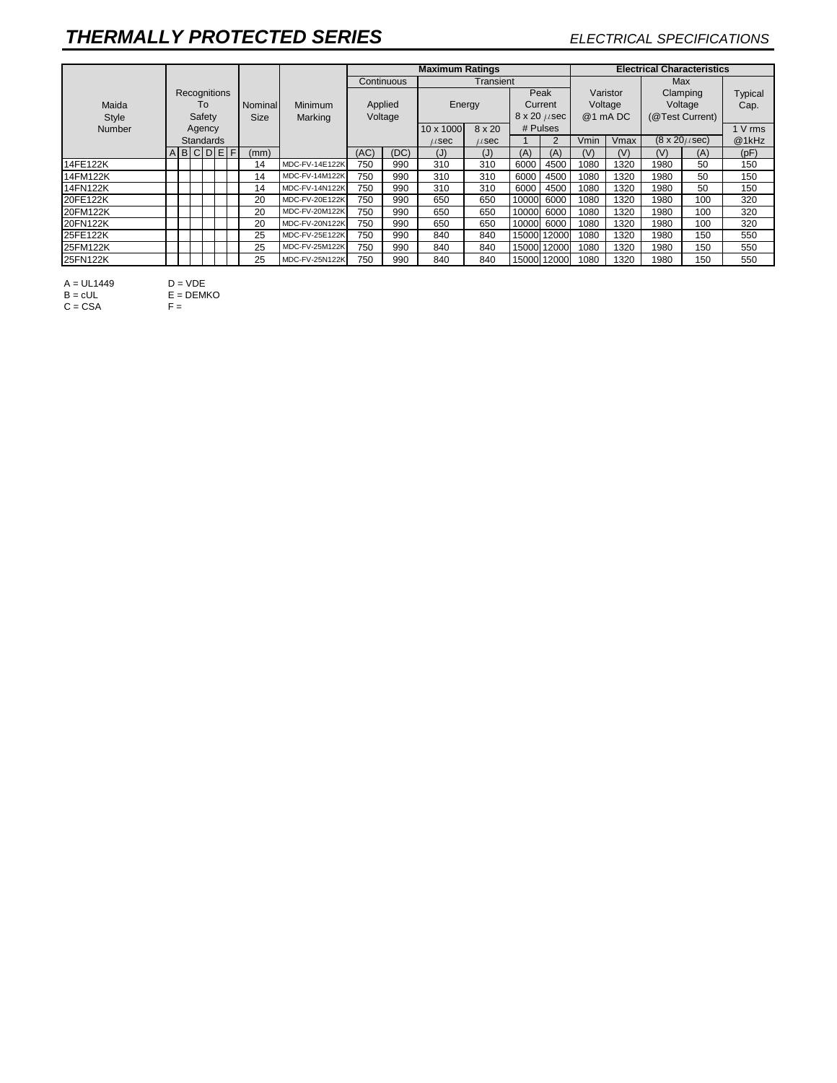|          |              |                  |             |         |         |                         |                       |        | <b>Maximum Ratings</b>  |           |           |            |                 |              | <b>Electrical Characteristics</b> |                          |     |       |  |  |
|----------|--------------|------------------|-------------|---------|---------|-------------------------|-----------------------|--------|-------------------------|-----------|-----------|------------|-----------------|--------------|-----------------------------------|--------------------------|-----|-------|--|--|
|          |              |                  |             |         |         | Continuous<br>Transient |                       |        |                         |           |           |            |                 | Max          |                                   |                          |     |       |  |  |
|          | Recognitions |                  |             |         |         |                         |                       |        | Peak                    |           |           | Varistor   | Clamping        |              | Typical                           |                          |     |       |  |  |
| Maida    | To           |                  | Nominal     | Minimum | Applied |                         | Energy                |        | Current                 |           | Voltage   |            | Voltage         |              | Cap.                              |                          |     |       |  |  |
| Style    | Safety       |                  | <b>Size</b> | Marking | Voltage |                         |                       |        | $8 \times 20 \ \mu sec$ |           | @1 mA DC  |            | (@Test Current) |              |                                   |                          |     |       |  |  |
| Number   | Agency       |                  |             |         |         |                         | 10 x 1000             | 8 x 20 | # Pulses                |           |           |            |                 |              | I V rms                           |                          |     |       |  |  |
|          |              | <b>Standards</b> |             |         |         |                         |                       |        |                         | $\mu$ sec | $\mu$ sec |            | 2               | Vmin<br>Vmax |                                   | $(8 \times 20 \mu \sec)$ |     | @1kHz |  |  |
|          |              | ABCDEF           |             |         |         | (mm)                    |                       | (AC)   | (DC)                    | (J)       | (J)       | (A)        | (A)             | (V)          | (V)                               | (V)                      | (A) | (pF)  |  |  |
| 14FE122K |              |                  |             |         |         | 14                      | <b>MDC-FV-14E122K</b> | 750    | 990                     | 310       | 310       | 6000       | 4500            | 1080         | 1320                              | 1980                     | 50  | 150   |  |  |
| 14FM122K |              |                  |             |         |         | 14                      | MDC-FV-14M122K        | 750    | 990                     | 310       | 310       | 6000       | 4500            | 1080         | 1320                              | 1980                     | 50  | 150   |  |  |
| 14FN122K |              |                  |             |         |         | 14                      | <b>MDC-FV-14N122K</b> | 750    | 990                     | 310       | 310       | 6000       | 4500            | 1080         | 1320                              | 1980                     | 50  | 150   |  |  |
| 20FE122K |              |                  |             |         |         | 20                      | MDC-FV-20E122K        | 750    | 990                     | 650       | 650       | 10000      | 6000            | 1080         | 1320                              | 1980                     | 100 | 320   |  |  |
| 20FM122K |              |                  |             |         |         | 20                      | MDC-FV-20M122K        | 750    | 990                     | 650       | 650       | 10000      | 6000            | 1080         | 1320                              | 1980                     | 100 | 320   |  |  |
| 20FN122K |              |                  |             |         |         | 20                      | MDC-FV-20N122K        | 750    | 990                     | 650       | 650       | 10000 6000 |                 | 1080         | 1320                              | 1980                     | 100 | 320   |  |  |
| 25FE122K |              |                  |             |         |         | 25                      | <b>MDC-FV-25E122K</b> | 750    | 990                     | 840       | 840       |            | 15000 12000     | 1080         | 1320                              | 1980                     | 150 | 550   |  |  |
| 25FM122K |              |                  |             |         |         | 25                      | MDC-FV-25M122K        | 750    | 990                     | 840       | 840       |            | 15000 12000     | 1080         | 1320                              | 1980                     | 150 | 550   |  |  |
| 25FN122K |              |                  |             |         |         | 25                      | MDC-FV-25N122K        | 750    | 990                     | 840       | 840       |            | 15000 12000     | 1080         | 1320                              | 1980                     | 150 | 550   |  |  |

A = UL1449 D = VDE  $B = cUL$   $E = DEMKO$ 

 $C = CSA$  F =